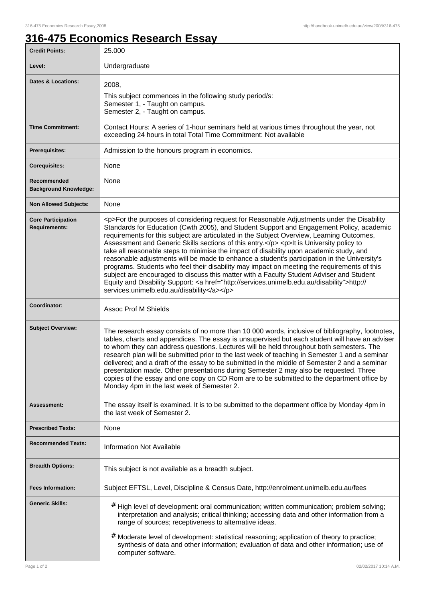ı

## **316-475 Economics Research Essay**

| <b>Credit Points:</b>                             | 25.000                                                                                                                                                                                                                                                                                                                                                                                                                                                                                                                                                                                                                                                                                                                                                                                                                                                                                                                       |
|---------------------------------------------------|------------------------------------------------------------------------------------------------------------------------------------------------------------------------------------------------------------------------------------------------------------------------------------------------------------------------------------------------------------------------------------------------------------------------------------------------------------------------------------------------------------------------------------------------------------------------------------------------------------------------------------------------------------------------------------------------------------------------------------------------------------------------------------------------------------------------------------------------------------------------------------------------------------------------------|
| Level:                                            | Undergraduate                                                                                                                                                                                                                                                                                                                                                                                                                                                                                                                                                                                                                                                                                                                                                                                                                                                                                                                |
| <b>Dates &amp; Locations:</b>                     | 2008,<br>This subject commences in the following study period/s:<br>Semester 1, - Taught on campus.<br>Semester 2, - Taught on campus.                                                                                                                                                                                                                                                                                                                                                                                                                                                                                                                                                                                                                                                                                                                                                                                       |
| <b>Time Commitment:</b>                           | Contact Hours: A series of 1-hour seminars held at various times throughout the year, not<br>exceeding 24 hours in total Total Time Commitment: Not available                                                                                                                                                                                                                                                                                                                                                                                                                                                                                                                                                                                                                                                                                                                                                                |
| Prerequisites:                                    | Admission to the honours program in economics.                                                                                                                                                                                                                                                                                                                                                                                                                                                                                                                                                                                                                                                                                                                                                                                                                                                                               |
| <b>Corequisites:</b>                              | None                                                                                                                                                                                                                                                                                                                                                                                                                                                                                                                                                                                                                                                                                                                                                                                                                                                                                                                         |
| Recommended<br><b>Background Knowledge:</b>       | None                                                                                                                                                                                                                                                                                                                                                                                                                                                                                                                                                                                                                                                                                                                                                                                                                                                                                                                         |
| <b>Non Allowed Subjects:</b>                      | None                                                                                                                                                                                                                                                                                                                                                                                                                                                                                                                                                                                                                                                                                                                                                                                                                                                                                                                         |
| <b>Core Participation</b><br><b>Requirements:</b> | <p>For the purposes of considering request for Reasonable Adjustments under the Disability<br/>Standards for Education (Cwth 2005), and Student Support and Engagement Policy, academic<br/>requirements for this subject are articulated in the Subject Overview, Learning Outcomes,<br/>Assessment and Generic Skills sections of this entry.</p> <p>lt is University policy to<br/>take all reasonable steps to minimise the impact of disability upon academic study, and<br/>reasonable adjustments will be made to enhance a student's participation in the University's<br/>programs. Students who feel their disability may impact on meeting the requirements of this<br/>subject are encouraged to discuss this matter with a Faculty Student Adviser and Student<br/>Equity and Disability Support: &lt; a href="http://services.unimelb.edu.au/disability"&gt;http://<br/>services.unimelb.edu.au/disability</p> |
| Coordinator:                                      | <b>Assoc Prof M Shields</b>                                                                                                                                                                                                                                                                                                                                                                                                                                                                                                                                                                                                                                                                                                                                                                                                                                                                                                  |
| <b>Subject Overview:</b>                          | The research essay consists of no more than 10 000 words, inclusive of bibliography, footnotes,<br>tables, charts and appendices. The essay is unsupervised but each student will have an adviser<br>to whom they can address questions. Lectures will be held throughout both semesters. The<br>research plan will be submitted prior to the last week of teaching in Semester 1 and a seminar<br>delivered; and a draft of the essay to be submitted in the middle of Semester 2 and a seminar<br>presentation made. Other presentations during Semester 2 may also be requested. Three<br>copies of the essay and one copy on CD Rom are to be submitted to the department office by<br>Monday 4pm in the last week of Semester 2.                                                                                                                                                                                        |
| <b>Assessment:</b>                                | The essay itself is examined. It is to be submitted to the department office by Monday 4pm in<br>the last week of Semester 2.                                                                                                                                                                                                                                                                                                                                                                                                                                                                                                                                                                                                                                                                                                                                                                                                |
| <b>Prescribed Texts:</b>                          | None                                                                                                                                                                                                                                                                                                                                                                                                                                                                                                                                                                                                                                                                                                                                                                                                                                                                                                                         |
| <b>Recommended Texts:</b>                         | <b>Information Not Available</b>                                                                                                                                                                                                                                                                                                                                                                                                                                                                                                                                                                                                                                                                                                                                                                                                                                                                                             |
| <b>Breadth Options:</b>                           | This subject is not available as a breadth subject.                                                                                                                                                                                                                                                                                                                                                                                                                                                                                                                                                                                                                                                                                                                                                                                                                                                                          |
| <b>Fees Information:</b>                          | Subject EFTSL, Level, Discipline & Census Date, http://enrolment.unimelb.edu.au/fees                                                                                                                                                                                                                                                                                                                                                                                                                                                                                                                                                                                                                                                                                                                                                                                                                                         |
| <b>Generic Skills:</b>                            | # High level of development: oral communication; written communication; problem solving;<br>interpretation and analysis; critical thinking; accessing data and other information from a<br>range of sources; receptiveness to alternative ideas.<br># Moderate level of development: statistical reasoning; application of theory to practice;<br>synthesis of data and other information; evaluation of data and other information; use of<br>computer software.                                                                                                                                                                                                                                                                                                                                                                                                                                                            |